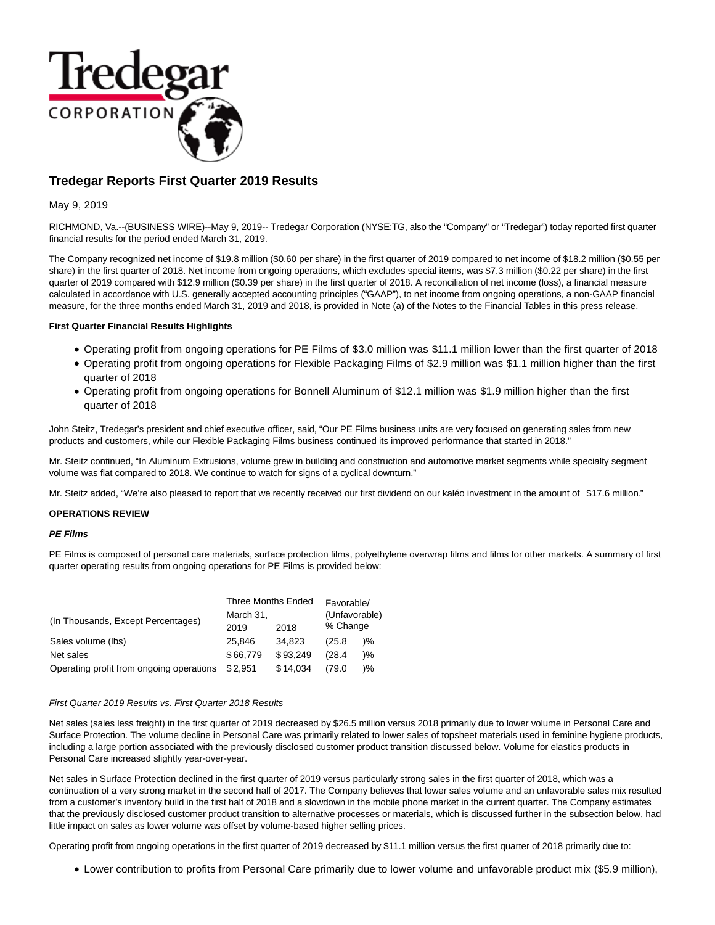

# **Tredegar Reports First Quarter 2019 Results**

## May 9, 2019

RICHMOND, Va.--(BUSINESS WIRE)--May 9, 2019-- Tredegar Corporation (NYSE:TG, also the "Company" or "Tredegar") today reported first quarter financial results for the period ended March 31, 2019.

The Company recognized net income of \$19.8 million (\$0.60 per share) in the first quarter of 2019 compared to net income of \$18.2 million (\$0.55 per share) in the first quarter of 2018. Net income from ongoing operations, which excludes special items, was \$7.3 million (\$0.22 per share) in the first quarter of 2019 compared with \$12.9 million (\$0.39 per share) in the first quarter of 2018. A reconciliation of net income (loss), a financial measure calculated in accordance with U.S. generally accepted accounting principles ("GAAP"), to net income from ongoing operations, a non-GAAP financial measure, for the three months ended March 31, 2019 and 2018, is provided in Note (a) of the Notes to the Financial Tables in this press release.

#### **First Quarter Financial Results Highlights**

- Operating profit from ongoing operations for PE Films of \$3.0 million was \$11.1 million lower than the first quarter of 2018
- Operating profit from ongoing operations for Flexible Packaging Films of \$2.9 million was \$1.1 million higher than the first quarter of 2018
- Operating profit from ongoing operations for Bonnell Aluminum of \$12.1 million was \$1.9 million higher than the first quarter of 2018

John Steitz, Tredegar's president and chief executive officer, said, "Our PE Films business units are very focused on generating sales from new products and customers, while our Flexible Packaging Films business continued its improved performance that started in 2018."

Mr. Steitz continued, "In Aluminum Extrusions, volume grew in building and construction and automotive market segments while specialty segment volume was flat compared to 2018. We continue to watch for signs of a cyclical downturn."

Mr. Steitz added, "We're also pleased to report that we recently received our first dividend on our kaléo investment in the amount of \$17.6 million."

#### **OPERATIONS REVIEW**

#### **PE Films**

PE Films is composed of personal care materials, surface protection films, polyethylene overwrap films and films for other markets. A summary of first quarter operating results from ongoing operations for PE Films is provided below:

|                                          | Three Months Ended |          | Favorable/<br>(Unfavorable) |               |
|------------------------------------------|--------------------|----------|-----------------------------|---------------|
|                                          | March 31,          |          |                             |               |
| (In Thousands, Except Percentages)       | 2019               | 2018     | % Change                    |               |
| Sales volume (lbs)                       | 25.846             | 34.823   | (25.8)                      | $\frac{9}{6}$ |
| Net sales                                | \$66,779           | \$93.249 | (28.4)                      | $\frac{9}{6}$ |
| Operating profit from ongoing operations | \$2.951            | \$14,034 | (79.0)                      | )%            |

#### First Quarter 2019 Results vs. First Quarter 2018 Results

Net sales (sales less freight) in the first quarter of 2019 decreased by \$26.5 million versus 2018 primarily due to lower volume in Personal Care and Surface Protection. The volume decline in Personal Care was primarily related to lower sales of topsheet materials used in feminine hygiene products, including a large portion associated with the previously disclosed customer product transition discussed below. Volume for elastics products in Personal Care increased slightly year-over-year.

Net sales in Surface Protection declined in the first quarter of 2019 versus particularly strong sales in the first quarter of 2018, which was a continuation of a very strong market in the second half of 2017. The Company believes that lower sales volume and an unfavorable sales mix resulted from a customer's inventory build in the first half of 2018 and a slowdown in the mobile phone market in the current quarter. The Company estimates that the previously disclosed customer product transition to alternative processes or materials, which is discussed further in the subsection below, had little impact on sales as lower volume was offset by volume-based higher selling prices.

Operating profit from ongoing operations in the first quarter of 2019 decreased by \$11.1 million versus the first quarter of 2018 primarily due to:

Lower contribution to profits from Personal Care primarily due to lower volume and unfavorable product mix (\$5.9 million),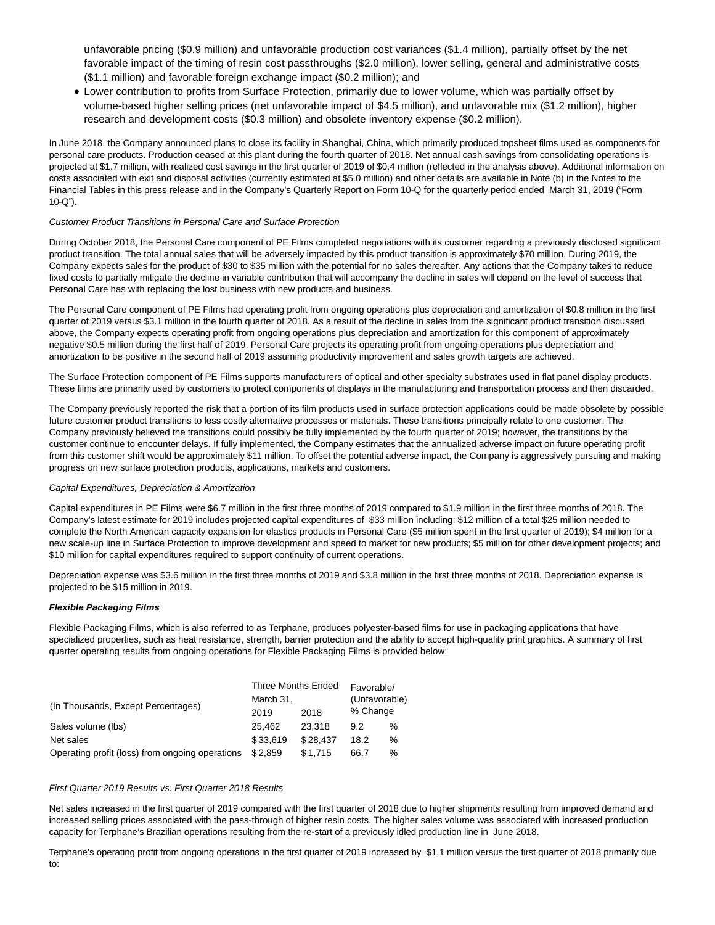unfavorable pricing (\$0.9 million) and unfavorable production cost variances (\$1.4 million), partially offset by the net favorable impact of the timing of resin cost passthroughs (\$2.0 million), lower selling, general and administrative costs (\$1.1 million) and favorable foreign exchange impact (\$0.2 million); and

Lower contribution to profits from Surface Protection, primarily due to lower volume, which was partially offset by volume-based higher selling prices (net unfavorable impact of \$4.5 million), and unfavorable mix (\$1.2 million), higher research and development costs (\$0.3 million) and obsolete inventory expense (\$0.2 million).

In June 2018, the Company announced plans to close its facility in Shanghai, China, which primarily produced topsheet films used as components for personal care products. Production ceased at this plant during the fourth quarter of 2018. Net annual cash savings from consolidating operations is projected at \$1.7 million, with realized cost savings in the first quarter of 2019 of \$0.4 million (reflected in the analysis above). Additional information on costs associated with exit and disposal activities (currently estimated at \$5.0 million) and other details are available in Note (b) in the Notes to the Financial Tables in this press release and in the Company's Quarterly Report on Form 10-Q for the quarterly period ended March 31, 2019 ("Form 10-Q").

#### Customer Product Transitions in Personal Care and Surface Protection

During October 2018, the Personal Care component of PE Films completed negotiations with its customer regarding a previously disclosed significant product transition. The total annual sales that will be adversely impacted by this product transition is approximately \$70 million. During 2019, the Company expects sales for the product of \$30 to \$35 million with the potential for no sales thereafter. Any actions that the Company takes to reduce fixed costs to partially mitigate the decline in variable contribution that will accompany the decline in sales will depend on the level of success that Personal Care has with replacing the lost business with new products and business.

The Personal Care component of PE Films had operating profit from ongoing operations plus depreciation and amortization of \$0.8 million in the first quarter of 2019 versus \$3.1 million in the fourth quarter of 2018. As a result of the decline in sales from the significant product transition discussed above, the Company expects operating profit from ongoing operations plus depreciation and amortization for this component of approximately negative \$0.5 million during the first half of 2019. Personal Care projects its operating profit from ongoing operations plus depreciation and amortization to be positive in the second half of 2019 assuming productivity improvement and sales growth targets are achieved.

The Surface Protection component of PE Films supports manufacturers of optical and other specialty substrates used in flat panel display products. These films are primarily used by customers to protect components of displays in the manufacturing and transportation process and then discarded.

The Company previously reported the risk that a portion of its film products used in surface protection applications could be made obsolete by possible future customer product transitions to less costly alternative processes or materials. These transitions principally relate to one customer. The Company previously believed the transitions could possibly be fully implemented by the fourth quarter of 2019; however, the transitions by the customer continue to encounter delays. If fully implemented, the Company estimates that the annualized adverse impact on future operating profit from this customer shift would be approximately \$11 million. To offset the potential adverse impact, the Company is aggressively pursuing and making progress on new surface protection products, applications, markets and customers.

#### Capital Expenditures, Depreciation & Amortization

Capital expenditures in PE Films were \$6.7 million in the first three months of 2019 compared to \$1.9 million in the first three months of 2018. The Company's latest estimate for 2019 includes projected capital expenditures of \$33 million including: \$12 million of a total \$25 million needed to complete the North American capacity expansion for elastics products in Personal Care (\$5 million spent in the first quarter of 2019); \$4 million for a new scale-up line in Surface Protection to improve development and speed to market for new products; \$5 million for other development projects; and \$10 million for capital expenditures required to support continuity of current operations.

Depreciation expense was \$3.6 million in the first three months of 2019 and \$3.8 million in the first three months of 2018. Depreciation expense is projected to be \$15 million in 2019.

#### **Flexible Packaging Films**

Flexible Packaging Films, which is also referred to as Terphane, produces polyester-based films for use in packaging applications that have specialized properties, such as heat resistance, strength, barrier protection and the ability to accept high-quality print graphics. A summary of first quarter operating results from ongoing operations for Flexible Packaging Films is provided below:

|                                                 | Three Months Ended |          | Favorable/<br>(Unfavorable) |   |
|-------------------------------------------------|--------------------|----------|-----------------------------|---|
| (In Thousands, Except Percentages)              | March 31,          |          |                             |   |
|                                                 | 2019               | 2018     | % Change                    |   |
| Sales volume (lbs)                              | 25.462             | 23.318   | 9.2                         | % |
| Net sales                                       | \$33.619           | \$28.437 | 18.2                        | % |
| Operating profit (loss) from ongoing operations | \$2,859            | \$1.715  | 66.7                        | % |

#### First Quarter 2019 Results vs. First Quarter 2018 Results

Net sales increased in the first quarter of 2019 compared with the first quarter of 2018 due to higher shipments resulting from improved demand and increased selling prices associated with the pass-through of higher resin costs. The higher sales volume was associated with increased production capacity for Terphane's Brazilian operations resulting from the re-start of a previously idled production line in June 2018.

Terphane's operating profit from ongoing operations in the first quarter of 2019 increased by \$1.1 million versus the first quarter of 2018 primarily due to: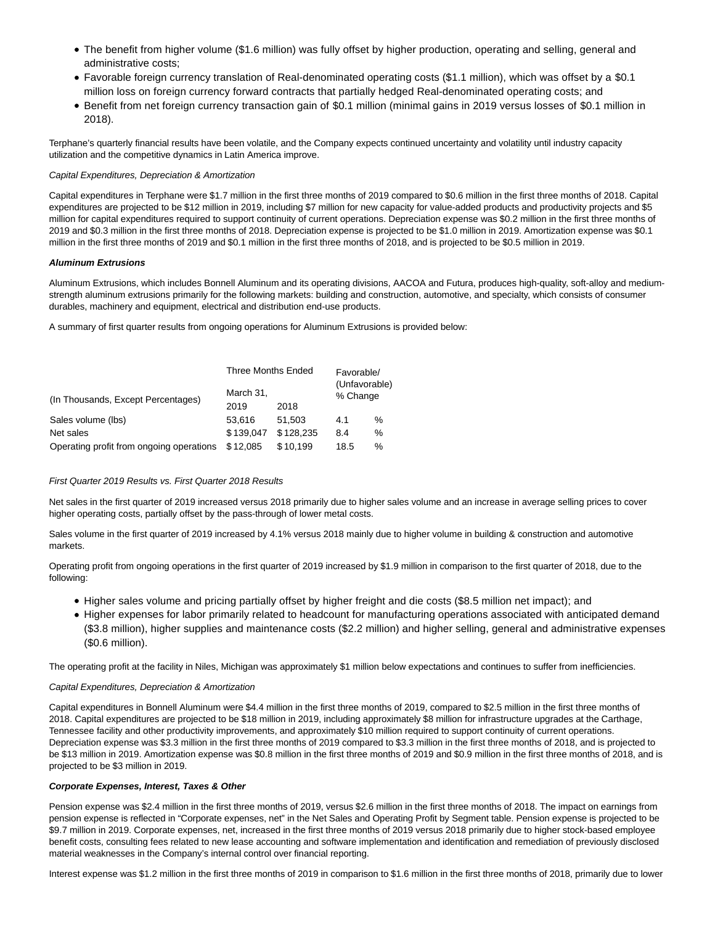- The benefit from higher volume (\$1.6 million) was fully offset by higher production, operating and selling, general and administrative costs;
- Favorable foreign currency translation of Real-denominated operating costs (\$1.1 million), which was offset by a \$0.1 million loss on foreign currency forward contracts that partially hedged Real-denominated operating costs; and
- Benefit from net foreign currency transaction gain of \$0.1 million (minimal gains in 2019 versus losses of \$0.1 million in 2018).

Terphane's quarterly financial results have been volatile, and the Company expects continued uncertainty and volatility until industry capacity utilization and the competitive dynamics in Latin America improve.

#### Capital Expenditures, Depreciation & Amortization

Capital expenditures in Terphane were \$1.7 million in the first three months of 2019 compared to \$0.6 million in the first three months of 2018. Capital expenditures are projected to be \$12 million in 2019, including \$7 million for new capacity for value-added products and productivity projects and \$5 million for capital expenditures required to support continuity of current operations. Depreciation expense was \$0.2 million in the first three months of 2019 and \$0.3 million in the first three months of 2018. Depreciation expense is projected to be \$1.0 million in 2019. Amortization expense was \$0.1 million in the first three months of 2019 and \$0.1 million in the first three months of 2018, and is projected to be \$0.5 million in 2019.

#### **Aluminum Extrusions**

Aluminum Extrusions, which includes Bonnell Aluminum and its operating divisions, AACOA and Futura, produces high-quality, soft-alloy and mediumstrength aluminum extrusions primarily for the following markets: building and construction, automotive, and specialty, which consists of consumer durables, machinery and equipment, electrical and distribution end-use products.

A summary of first quarter results from ongoing operations for Aluminum Extrusions is provided below:

|                                          | <b>Three Months Ended</b> |           | Favorable/<br>(Unfavorable)<br>% Change |      |
|------------------------------------------|---------------------------|-----------|-----------------------------------------|------|
| (In Thousands, Except Percentages)       | March 31,                 |           |                                         |      |
|                                          | 2019                      | 2018      |                                         |      |
| Sales volume (lbs)                       | 53.616                    | 51.503    | 4.1                                     | %    |
| Net sales                                | \$139.047                 | \$128.235 | 8.4                                     | $\%$ |
| Operating profit from ongoing operations | \$12,085                  | \$10,199  | 18.5                                    | %    |

#### First Quarter 2019 Results vs. First Quarter 2018 Results

Net sales in the first quarter of 2019 increased versus 2018 primarily due to higher sales volume and an increase in average selling prices to cover higher operating costs, partially offset by the pass-through of lower metal costs.

Sales volume in the first quarter of 2019 increased by 4.1% versus 2018 mainly due to higher volume in building & construction and automotive markets.

Operating profit from ongoing operations in the first quarter of 2019 increased by \$1.9 million in comparison to the first quarter of 2018, due to the following:

- Higher sales volume and pricing partially offset by higher freight and die costs (\$8.5 million net impact); and
- Higher expenses for labor primarily related to headcount for manufacturing operations associated with anticipated demand (\$3.8 million), higher supplies and maintenance costs (\$2.2 million) and higher selling, general and administrative expenses (\$0.6 million).

The operating profit at the facility in Niles, Michigan was approximately \$1 million below expectations and continues to suffer from inefficiencies.

#### Capital Expenditures, Depreciation & Amortization

Capital expenditures in Bonnell Aluminum were \$4.4 million in the first three months of 2019, compared to \$2.5 million in the first three months of 2018. Capital expenditures are projected to be \$18 million in 2019, including approximately \$8 million for infrastructure upgrades at the Carthage, Tennessee facility and other productivity improvements, and approximately \$10 million required to support continuity of current operations. Depreciation expense was \$3.3 million in the first three months of 2019 compared to \$3.3 million in the first three months of 2018, and is projected to be \$13 million in 2019. Amortization expense was \$0.8 million in the first three months of 2019 and \$0.9 million in the first three months of 2018, and is projected to be \$3 million in 2019.

#### **Corporate Expenses, Interest, Taxes & Other**

Pension expense was \$2.4 million in the first three months of 2019, versus \$2.6 million in the first three months of 2018. The impact on earnings from pension expense is reflected in "Corporate expenses, net" in the Net Sales and Operating Profit by Segment table. Pension expense is projected to be \$9.7 million in 2019. Corporate expenses, net, increased in the first three months of 2019 versus 2018 primarily due to higher stock-based employee benefit costs, consulting fees related to new lease accounting and software implementation and identification and remediation of previously disclosed material weaknesses in the Company's internal control over financial reporting.

Interest expense was \$1.2 million in the first three months of 2019 in comparison to \$1.6 million in the first three months of 2018, primarily due to lower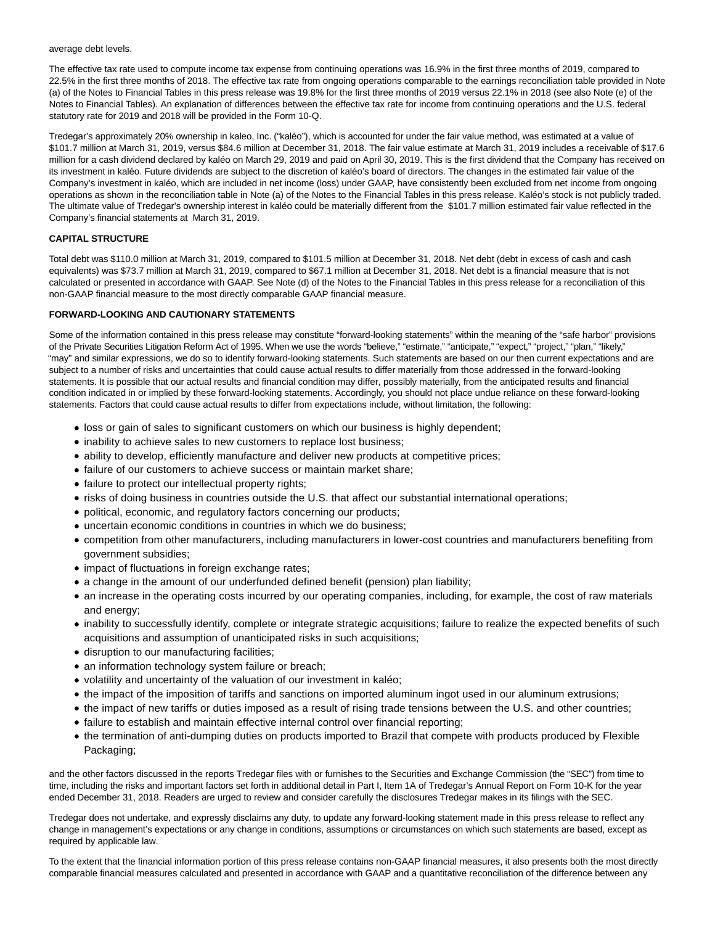average debt levels.

The effective tax rate used to compute income tax expense from continuing operations was 16.9% in the first three months of 2019, compared to 22.5% in the first three months of 2018. The effective tax rate from ongoing operations comparable to the earnings reconciliation table provided in Note (a) of the Notes to Financial Tables in this press release was 19.8% for the first three months of 2019 versus 22.1% in 2018 (see also Note (e) of the Notes to Financial Tables). An explanation of differences between the effective tax rate for income from continuing operations and the U.S. federal statutory rate for 2019 and 2018 will be provided in the Form 10-Q.

Tredegar's approximately 20% ownership in kaleo, Inc. ("kaléo"), which is accounted for under the fair value method, was estimated at a value of \$101.7 million at March 31, 2019, versus \$84.6 million at December 31, 2018. The fair value estimate at March 31, 2019 includes a receivable of \$17.6 million for a cash dividend declared by kaléo on March 29, 2019 and paid on April 30, 2019. This is the first dividend that the Company has received on its investment in kaléo. Future dividends are subject to the discretion of kaléo's board of directors. The changes in the estimated fair value of the Company's investment in kaléo, which are included in net income (loss) under GAAP, have consistently been excluded from net income from ongoing operations as shown in the reconciliation table in Note (a) of the Notes to the Financial Tables in this press release. Kaléo's stock is not publicly traded. The ultimate value of Tredegar's ownership interest in kaléo could be materially different from the \$101.7 million estimated fair value reflected in the Company's financial statements at March 31, 2019.

# **CAPITAL STRUCTURE**

Total debt was \$110.0 million at March 31, 2019, compared to \$101.5 million at December 31, 2018. Net debt (debt in excess of cash and cash equivalents) was \$73.7 million at March 31, 2019, compared to \$67.1 million at December 31, 2018. Net debt is a financial measure that is not calculated or presented in accordance with GAAP. See Note (d) of the Notes to the Financial Tables in this press release for a reconciliation of this non-GAAP financial measure to the most directly comparable GAAP financial measure.

#### **FORWARD-LOOKING AND CAUTIONARY STATEMENTS**

Some of the information contained in this press release may constitute "forward-looking statements" within the meaning of the "safe harbor" provisions of the Private Securities Litigation Reform Act of 1995. When we use the words "believe," "estimate," "anticipate," "expect," "project," "plan," "likely," "may" and similar expressions, we do so to identify forward-looking statements. Such statements are based on our then current expectations and are subject to a number of risks and uncertainties that could cause actual results to differ materially from those addressed in the forward-looking statements. It is possible that our actual results and financial condition may differ, possibly materially, from the anticipated results and financial condition indicated in or implied by these forward-looking statements. Accordingly, you should not place undue reliance on these forward-looking statements. Factors that could cause actual results to differ from expectations include, without limitation, the following:

- loss or gain of sales to significant customers on which our business is highly dependent;
- inability to achieve sales to new customers to replace lost business;
- ability to develop, efficiently manufacture and deliver new products at competitive prices;
- failure of our customers to achieve success or maintain market share;
- failure to protect our intellectual property rights;
- risks of doing business in countries outside the U.S. that affect our substantial international operations;
- political, economic, and regulatory factors concerning our products;
- uncertain economic conditions in countries in which we do business;
- competition from other manufacturers, including manufacturers in lower-cost countries and manufacturers benefiting from government subsidies;
- impact of fluctuations in foreign exchange rates;
- a change in the amount of our underfunded defined benefit (pension) plan liability;
- an increase in the operating costs incurred by our operating companies, including, for example, the cost of raw materials and energy;
- inability to successfully identify, complete or integrate strategic acquisitions; failure to realize the expected benefits of such acquisitions and assumption of unanticipated risks in such acquisitions;
- disruption to our manufacturing facilities;
- an information technology system failure or breach;
- volatility and uncertainty of the valuation of our investment in kaléo;
- the impact of the imposition of tariffs and sanctions on imported aluminum ingot used in our aluminum extrusions;
- the impact of new tariffs or duties imposed as a result of rising trade tensions between the U.S. and other countries;
- failure to establish and maintain effective internal control over financial reporting;
- the termination of anti-dumping duties on products imported to Brazil that compete with products produced by Flexible Packaging;

and the other factors discussed in the reports Tredegar files with or furnishes to the Securities and Exchange Commission (the "SEC") from time to time, including the risks and important factors set forth in additional detail in Part I, Item 1A of Tredegar's Annual Report on Form 10-K for the year ended December 31, 2018. Readers are urged to review and consider carefully the disclosures Tredegar makes in its filings with the SEC.

Tredegar does not undertake, and expressly disclaims any duty, to update any forward-looking statement made in this press release to reflect any change in management's expectations or any change in conditions, assumptions or circumstances on which such statements are based, except as required by applicable law.

To the extent that the financial information portion of this press release contains non-GAAP financial measures, it also presents both the most directly comparable financial measures calculated and presented in accordance with GAAP and a quantitative reconciliation of the difference between any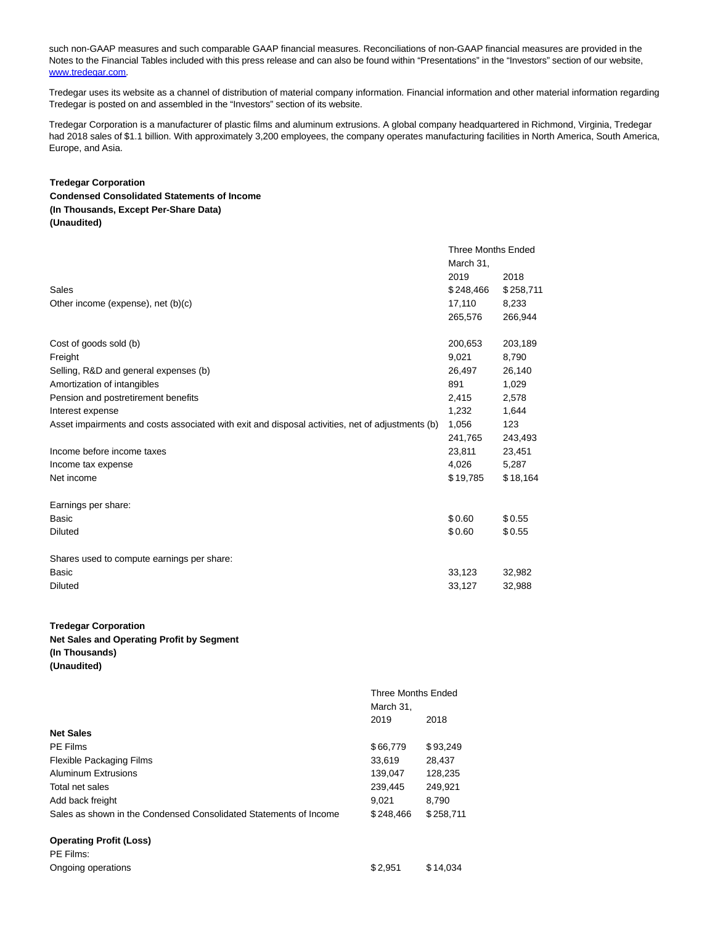such non-GAAP measures and such comparable GAAP financial measures. Reconciliations of non-GAAP financial measures are provided in the Notes to the Financial Tables included with this press release and can also be found within "Presentations" in the "Investors" section of our website, [www.tredegar.com.](https://cts.businesswire.com/ct/CT?id=smartlink&url=http%3A%2F%2Fwww.tredegar.com&esheet=51981675&newsitemid=20190509005858&lan=en-US&anchor=www.tredegar.com&index=1&md5=8f6a15cb7f65a71c405f3a662e504119)

Tredegar uses its website as a channel of distribution of material company information. Financial information and other material information regarding Tredegar is posted on and assembled in the "Investors" section of its website.

Tredegar Corporation is a manufacturer of plastic films and aluminum extrusions. A global company headquartered in Richmond, Virginia, Tredegar had 2018 sales of \$1.1 billion. With approximately 3,200 employees, the company operates manufacturing facilities in North America, South America, Europe, and Asia.

Three Months Ended

#### **Tredegar Corporation**

# **Condensed Consolidated Statements of Income (In Thousands, Except Per-Share Data) (Unaudited)**

|                                                                                                  | i ilice ivioriti is Eriucu |           |
|--------------------------------------------------------------------------------------------------|----------------------------|-----------|
|                                                                                                  | March 31,                  |           |
|                                                                                                  | 2019                       | 2018      |
| Sales                                                                                            | \$248,466                  | \$258,711 |
| Other income (expense), net (b)(c)                                                               | 17,110                     | 8,233     |
|                                                                                                  | 265,576                    | 266,944   |
| Cost of goods sold (b)                                                                           | 200,653                    | 203,189   |
| Freight                                                                                          | 9,021                      | 8,790     |
| Selling, R&D and general expenses (b)                                                            | 26,497                     | 26,140    |
| Amortization of intangibles                                                                      | 891                        | 1,029     |
| Pension and postretirement benefits                                                              | 2,415                      | 2,578     |
| Interest expense                                                                                 | 1,232                      | 1,644     |
| Asset impairments and costs associated with exit and disposal activities, net of adjustments (b) | 1,056                      | 123       |
|                                                                                                  | 241,765                    | 243,493   |
| Income before income taxes                                                                       | 23.811                     | 23,451    |
| Income tax expense                                                                               | 4.026                      | 5,287     |
| Net income                                                                                       | \$19,785                   | \$18,164  |
| Earnings per share:                                                                              |                            |           |
| Basic                                                                                            | \$0.60                     | \$0.55    |
| <b>Diluted</b>                                                                                   | \$0.60                     | \$0.55    |
| Shares used to compute earnings per share:                                                       |                            |           |
| Basic                                                                                            | 33,123                     | 32,982    |
| <b>Diluted</b>                                                                                   | 33,127                     | 32,988    |
|                                                                                                  |                            |           |

**Tredegar Corporation**

# **Net Sales and Operating Profit by Segment (In Thousands)**

**(Unaudited)**

|                                                                   | <b>Three Months Ended</b> |           |
|-------------------------------------------------------------------|---------------------------|-----------|
|                                                                   | March 31.                 |           |
|                                                                   | 2019                      | 2018      |
| <b>Net Sales</b>                                                  |                           |           |
| <b>PE Films</b>                                                   | \$66,779                  | \$93,249  |
| <b>Flexible Packaging Films</b>                                   | 33.619                    | 28,437    |
| Aluminum Extrusions                                               | 139,047                   | 128,235   |
| Total net sales                                                   | 239,445                   | 249,921   |
| Add back freight                                                  | 9.021                     | 8.790     |
| Sales as shown in the Condensed Consolidated Statements of Income | \$248.466                 | \$258,711 |
| <b>Operating Profit (Loss)</b>                                    |                           |           |
| PE Films:                                                         |                           |           |
| Ongoing operations                                                | \$2.951                   | \$14,034  |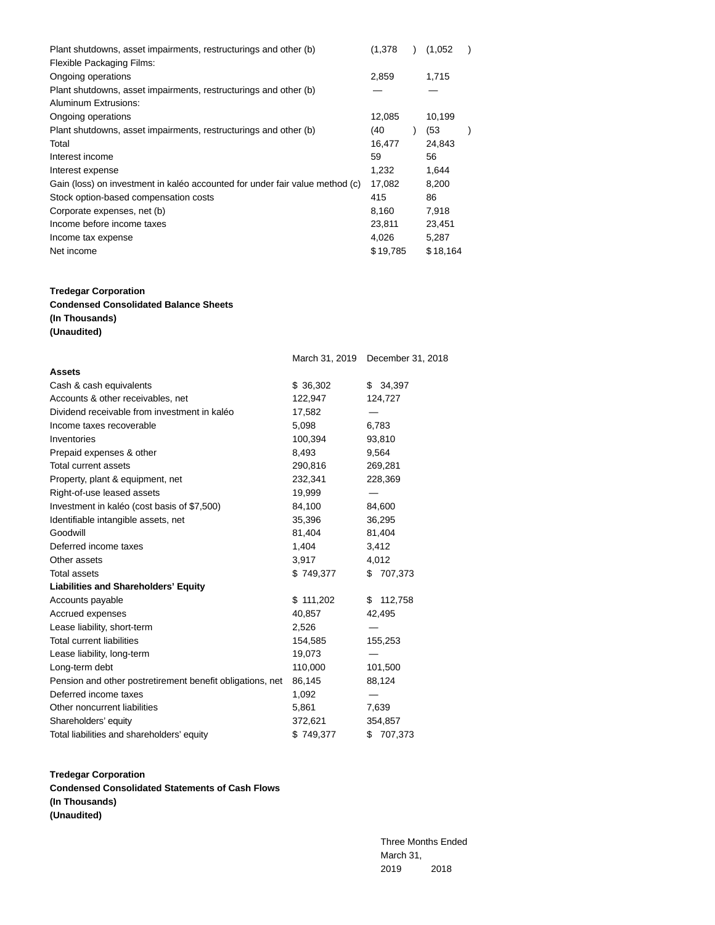| Plant shutdowns, asset impairments, restructurings and other (b)             | (1,378   | (1,052   |  |
|------------------------------------------------------------------------------|----------|----------|--|
| Flexible Packaging Films:                                                    |          |          |  |
| Ongoing operations                                                           | 2,859    | 1,715    |  |
| Plant shutdowns, asset impairments, restructurings and other (b)             |          |          |  |
| Aluminum Extrusions:                                                         |          |          |  |
| Ongoing operations                                                           | 12,085   | 10,199   |  |
| Plant shutdowns, asset impairments, restructurings and other (b)             | (40      | (53)     |  |
| Total                                                                        | 16,477   | 24,843   |  |
| Interest income                                                              | 59       | 56       |  |
| Interest expense                                                             | 1,232    | 1,644    |  |
| Gain (loss) on investment in kaléo accounted for under fair value method (c) | 17,082   | 8,200    |  |
| Stock option-based compensation costs                                        | 415      | 86       |  |
| Corporate expenses, net (b)                                                  | 8,160    | 7,918    |  |
| Income before income taxes                                                   | 23,811   | 23,451   |  |
| Income tax expense                                                           | 4,026    | 5,287    |  |
| Net income                                                                   | \$19,785 | \$18,164 |  |

# **Tredegar Corporation**

**Condensed Consolidated Balance Sheets (In Thousands) (Unaudited)**

|                                                           |           | March 31, 2019 December 31, 2018 |
|-----------------------------------------------------------|-----------|----------------------------------|
| <b>Assets</b>                                             |           |                                  |
| Cash & cash equivalents                                   | \$36,302  | \$34,397                         |
| Accounts & other receivables, net                         | 122,947   | 124,727                          |
| Dividend receivable from investment in kaléo              | 17,582    |                                  |
| Income taxes recoverable                                  | 5,098     | 6,783                            |
| Inventories                                               | 100,394   | 93,810                           |
| Prepaid expenses & other                                  | 8,493     | 9,564                            |
| <b>Total current assets</b>                               | 290,816   | 269,281                          |
| Property, plant & equipment, net                          | 232,341   | 228,369                          |
| Right-of-use leased assets                                | 19,999    |                                  |
| Investment in kaléo (cost basis of \$7,500)               | 84,100    | 84,600                           |
| Identifiable intangible assets, net                       | 35,396    | 36,295                           |
| Goodwill                                                  | 81,404    | 81,404                           |
| Deferred income taxes                                     | 1,404     | 3,412                            |
| Other assets                                              | 3,917     | 4,012                            |
| <b>Total assets</b>                                       | \$749,377 | \$707,373                        |
| <b>Liabilities and Shareholders' Equity</b>               |           |                                  |
| Accounts payable                                          | \$111,202 | \$112,758                        |
| Accrued expenses                                          | 40,857    | 42,495                           |
| Lease liability, short-term                               | 2,526     |                                  |
| <b>Total current liabilities</b>                          | 154,585   | 155,253                          |
| Lease liability, long-term                                | 19,073    |                                  |
| Long-term debt                                            | 110,000   | 101,500                          |
| Pension and other postretirement benefit obligations, net | 86,145    | 88,124                           |
| Deferred income taxes                                     | 1,092     |                                  |
| Other noncurrent liabilities                              | 5,861     | 7,639                            |
| Shareholders' equity                                      | 372,621   | 354,857                          |
| Total liabilities and shareholders' equity                | \$749,377 | \$707,373                        |

**Tredegar Corporation Condensed Consolidated Statements of Cash Flows (In Thousands) (Unaudited)**

> Three Months Ended March 31, 2019 2018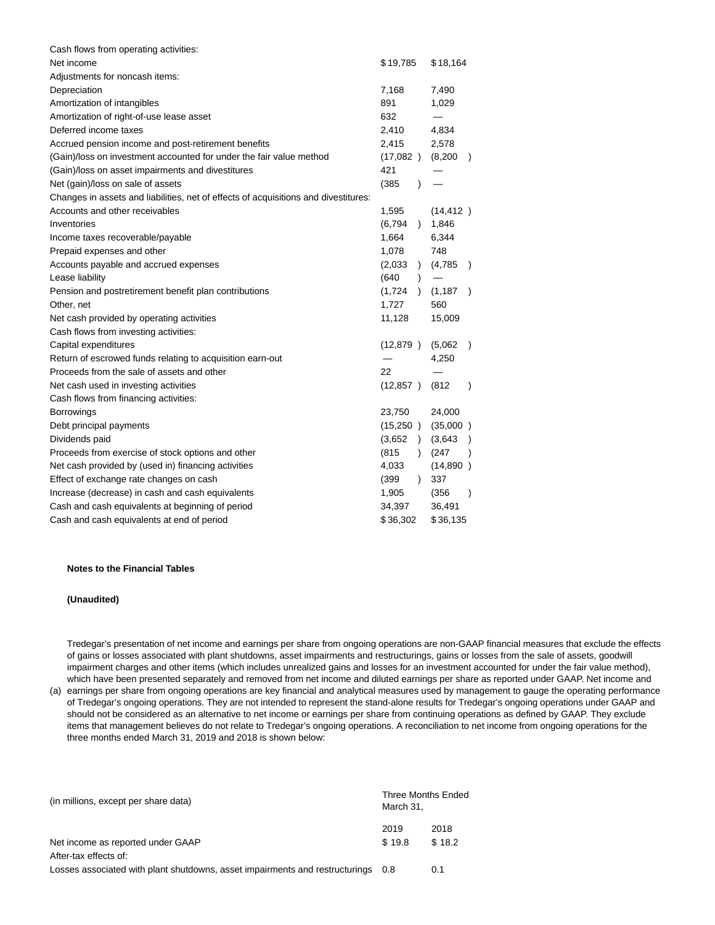| Cash flows from operating activities:                                               |                          |                          |
|-------------------------------------------------------------------------------------|--------------------------|--------------------------|
| Net income                                                                          | \$19,785                 | \$18,164                 |
| Adjustments for noncash items:                                                      |                          |                          |
| Depreciation                                                                        | 7,168                    | 7,490                    |
| Amortization of intangibles                                                         | 891                      | 1,029                    |
| Amortization of right-of-use lease asset                                            | 632                      | —                        |
| Deferred income taxes                                                               | 2,410                    | 4,834                    |
| Accrued pension income and post-retirement benefits                                 | 2,415                    | 2,578                    |
| (Gain)/loss on investment accounted for under the fair value method                 | (17,082)                 | (8, 200)<br>$\lambda$    |
| (Gain)/loss on asset impairments and divestitures                                   | 421                      |                          |
| Net (gain)/loss on sale of assets                                                   | (385)<br>$\lambda$       |                          |
| Changes in assets and liabilities, net of effects of acquisitions and divestitures: |                          |                          |
| Accounts and other receivables                                                      | 1,595                    | (14, 412)                |
| Inventories                                                                         | (6,794)<br>$\lambda$     | 1,846                    |
| Income taxes recoverable/payable                                                    | 1,664                    | 6,344                    |
| Prepaid expenses and other                                                          | 1,078                    | 748                      |
| Accounts payable and accrued expenses                                               | (2,033)<br>$\lambda$     | (4,785)<br>$\lambda$     |
| Lease liability                                                                     | (640)                    |                          |
| Pension and postretirement benefit plan contributions                               | (1,724)<br>$\lambda$     | (1, 187)<br>$\lambda$    |
| Other, net                                                                          | 1,727                    | 560                      |
| Net cash provided by operating activities                                           | 11,128                   | 15,009                   |
| Cash flows from investing activities:                                               |                          |                          |
| Capital expenditures                                                                | (12, 879)                | (5,062)<br>$\rightarrow$ |
| Return of escrowed funds relating to acquisition earn-out                           |                          | 4,250                    |
| Proceeds from the sale of assets and other                                          | 22                       |                          |
| Net cash used in investing activities                                               | (12, 857)                | (812)<br>$\lambda$       |
| Cash flows from financing activities:                                               |                          |                          |
| <b>Borrowings</b>                                                                   | 23,750                   | 24,000                   |
| Debt principal payments                                                             | (15,250)                 | (35,000)                 |
| Dividends paid                                                                      | (3.652)<br>$\rightarrow$ | (3,643)                  |
| Proceeds from exercise of stock options and other                                   | (815)<br>$\lambda$       | (247)                    |
| Net cash provided by (used in) financing activities                                 | 4,033                    | (14,890)                 |
| Effect of exchange rate changes on cash                                             | (399)<br>$\mathcal{L}$   | 337                      |
| Increase (decrease) in cash and cash equivalents                                    | 1,905                    | (356)<br>$\lambda$       |
| Cash and cash equivalents at beginning of period                                    | 34,397                   | 36,491                   |
| Cash and cash equivalents at end of period                                          | \$36,302                 | \$36,135                 |

#### **Notes to the Financial Tables**

#### **(Unaudited)**

Tredegar's presentation of net income and earnings per share from ongoing operations are non-GAAP financial measures that exclude the effects of gains or losses associated with plant shutdowns, asset impairments and restructurings, gains or losses from the sale of assets, goodwill impairment charges and other items (which includes unrealized gains and losses for an investment accounted for under the fair value method), which have been presented separately and removed from net income and diluted earnings per share as reported under GAAP. Net income and

(a) earnings per share from ongoing operations are key financial and analytical measures used by management to gauge the operating performance of Tredegar's ongoing operations. They are not intended to represent the stand-alone results for Tredegar's ongoing operations under GAAP and should not be considered as an alternative to net income or earnings per share from continuing operations as defined by GAAP. They exclude items that management believes do not relate to Tredegar's ongoing operations. A reconciliation to net income from ongoing operations for the three months ended March 31, 2019 and 2018 is shown below:

| (in millions, except per share data)                                             | March 31. | <b>Three Months Ended</b> |
|----------------------------------------------------------------------------------|-----------|---------------------------|
|                                                                                  | 2019      | 2018                      |
| Net income as reported under GAAP                                                | \$19.8    | \$18.2                    |
| After-tax effects of:                                                            |           |                           |
| Losses associated with plant shutdowns, asset impairments and restructurings 0.8 |           | 0.1                       |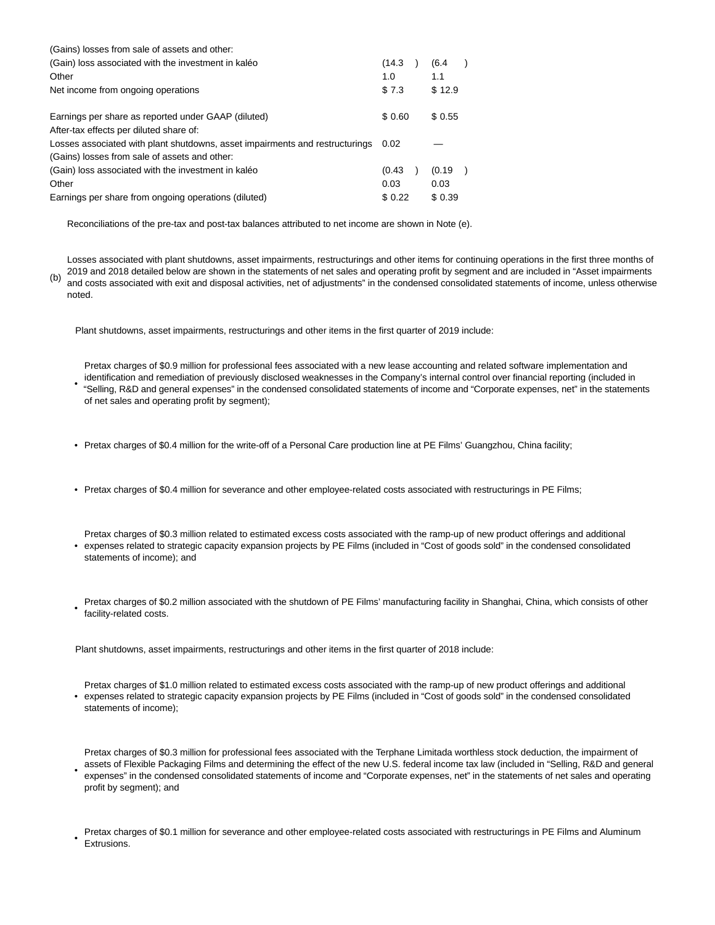| (14.3) | (6.4)   |
|--------|---------|
| 1.0    | 1.1     |
| \$7.3  | \$12.9  |
| \$0.60 | \$ 0.55 |
|        |         |
| 0.02   |         |
|        |         |
| (0.43) | (0.19)  |
| 0.03   | 0.03    |
| \$0.22 | \$0.39  |
|        |         |

Reconciliations of the pre-tax and post-tax balances attributed to net income are shown in Note (e).

(b) Losses associated with plant shutdowns, asset impairments, restructurings and other items for continuing operations in the first three months of 2019 and 2018 detailed below are shown in the statements of net sales and operating profit by segment and are included in "Asset impairments and costs associated with exit and disposal activities, net of adjustments" in the condensed consolidated statements of income, unless otherwise noted.

Plant shutdowns, asset impairments, restructurings and other items in the first quarter of 2019 include:

•

Pretax charges of \$0.9 million for professional fees associated with a new lease accounting and related software implementation and identification and remediation of previously disclosed weaknesses in the Company's internal control over financial reporting (included in "Selling, R&D and general expenses" in the condensed consolidated statements of income and "Corporate expenses, net" in the statements of net sales and operating profit by segment);

• Pretax charges of \$0.4 million for the write-off of a Personal Care production line at PE Films' Guangzhou, China facility;

• Pretax charges of \$0.4 million for severance and other employee-related costs associated with restructurings in PE Films;

• expenses related to strategic capacity expansion projects by PE Films (included in "Cost of goods sold" in the condensed consolidated Pretax charges of \$0.3 million related to estimated excess costs associated with the ramp-up of new product offerings and additional statements of income); and

• Pretax charges of \$0.2 million associated with the shutdown of PE Films' manufacturing facility in Shanghai, China, which consists of other facility-related costs.

Plant shutdowns, asset impairments, restructurings and other items in the first quarter of 2018 include:

• expenses related to strategic capacity expansion projects by PE Films (included in "Cost of goods sold" in the condensed consolidated Pretax charges of \$1.0 million related to estimated excess costs associated with the ramp-up of new product offerings and additional statements of income);

• Pretax charges of \$0.3 million for professional fees associated with the Terphane Limitada worthless stock deduction, the impairment of assets of Flexible Packaging Films and determining the effect of the new U.S. federal income tax law (included in "Selling, R&D and general expenses" in the condensed consolidated statements of income and "Corporate expenses, net" in the statements of net sales and operating profit by segment); and

• Pretax charges of \$0.1 million for severance and other employee-related costs associated with restructurings in PE Films and Aluminum Extrusions.